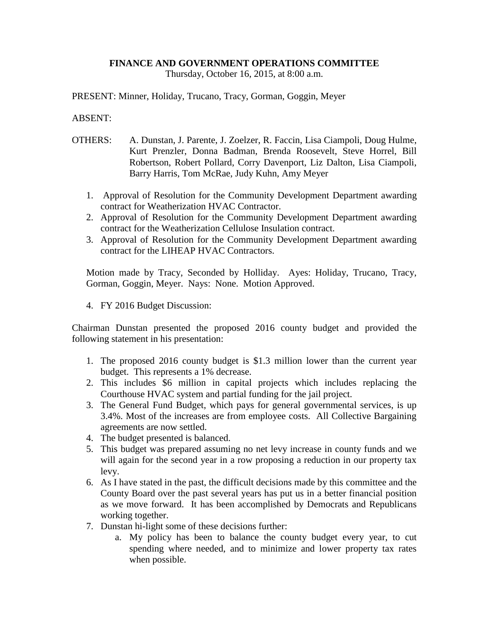## **FINANCE AND GOVERNMENT OPERATIONS COMMITTEE**

Thursday, October 16, 2015, at 8:00 a.m.

PRESENT: Minner, Holiday, Trucano, Tracy, Gorman, Goggin, Meyer

## ABSENT:

- OTHERS: A. Dunstan, J. Parente, J. Zoelzer, R. Faccin, Lisa Ciampoli, Doug Hulme, Kurt Prenzler, Donna Badman, Brenda Roosevelt, Steve Horrel, Bill Robertson, Robert Pollard, Corry Davenport, Liz Dalton, Lisa Ciampoli, Barry Harris, Tom McRae, Judy Kuhn, Amy Meyer
	- 1. Approval of Resolution for the Community Development Department awarding contract for Weatherization HVAC Contractor.
	- 2. Approval of Resolution for the Community Development Department awarding contract for the Weatherization Cellulose Insulation contract.
	- 3. Approval of Resolution for the Community Development Department awarding contract for the LIHEAP HVAC Contractors.

Motion made by Tracy, Seconded by Holliday. Ayes: Holiday, Trucano, Tracy, Gorman, Goggin, Meyer. Nays: None. Motion Approved.

4. FY 2016 Budget Discussion:

Chairman Dunstan presented the proposed 2016 county budget and provided the following statement in his presentation:

- 1. The proposed 2016 county budget is \$1.3 million lower than the current year budget. This represents a 1% decrease.
- 2. This includes \$6 million in capital projects which includes replacing the Courthouse HVAC system and partial funding for the jail project.
- 3. The General Fund Budget, which pays for general governmental services, is up 3.4%. Most of the increases are from employee costs. All Collective Bargaining agreements are now settled.
- 4. The budget presented is balanced.
- 5. This budget was prepared assuming no net levy increase in county funds and we will again for the second year in a row proposing a reduction in our property tax levy.
- 6. As I have stated in the past, the difficult decisions made by this committee and the County Board over the past several years has put us in a better financial position as we move forward. It has been accomplished by Democrats and Republicans working together.
- 7. Dunstan hi-light some of these decisions further:
	- a. My policy has been to balance the county budget every year, to cut spending where needed, and to minimize and lower property tax rates when possible.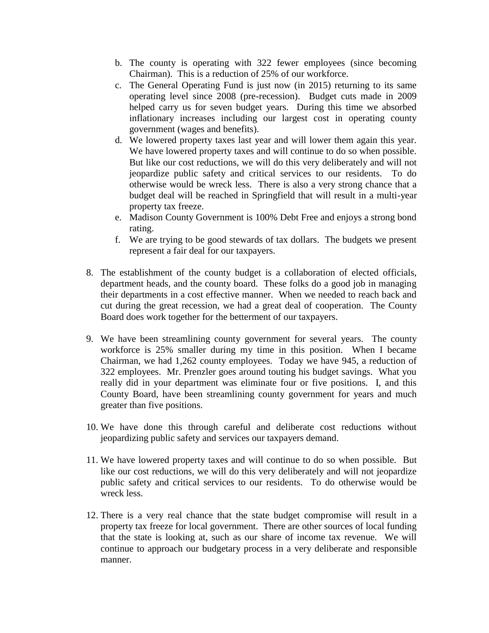- b. The county is operating with 322 fewer employees (since becoming Chairman). This is a reduction of 25% of our workforce.
- c. The General Operating Fund is just now (in 2015) returning to its same operating level since 2008 (pre-recession). Budget cuts made in 2009 helped carry us for seven budget years. During this time we absorbed inflationary increases including our largest cost in operating county government (wages and benefits).
- d. We lowered property taxes last year and will lower them again this year. We have lowered property taxes and will continue to do so when possible. But like our cost reductions, we will do this very deliberately and will not jeopardize public safety and critical services to our residents. To do otherwise would be wreck less. There is also a very strong chance that a budget deal will be reached in Springfield that will result in a multi-year property tax freeze.
- e. Madison County Government is 100% Debt Free and enjoys a strong bond rating.
- f. We are trying to be good stewards of tax dollars. The budgets we present represent a fair deal for our taxpayers.
- 8. The establishment of the county budget is a collaboration of elected officials, department heads, and the county board. These folks do a good job in managing their departments in a cost effective manner. When we needed to reach back and cut during the great recession, we had a great deal of cooperation. The County Board does work together for the betterment of our taxpayers.
- 9. We have been streamlining county government for several years. The county workforce is 25% smaller during my time in this position. When I became Chairman, we had 1,262 county employees. Today we have 945, a reduction of 322 employees. Mr. Prenzler goes around touting his budget savings. What you really did in your department was eliminate four or five positions. I, and this County Board, have been streamlining county government for years and much greater than five positions.
- 10. We have done this through careful and deliberate cost reductions without jeopardizing public safety and services our taxpayers demand.
- 11. We have lowered property taxes and will continue to do so when possible. But like our cost reductions, we will do this very deliberately and will not jeopardize public safety and critical services to our residents. To do otherwise would be wreck less.
- 12. There is a very real chance that the state budget compromise will result in a property tax freeze for local government. There are other sources of local funding that the state is looking at, such as our share of income tax revenue. We will continue to approach our budgetary process in a very deliberate and responsible manner.